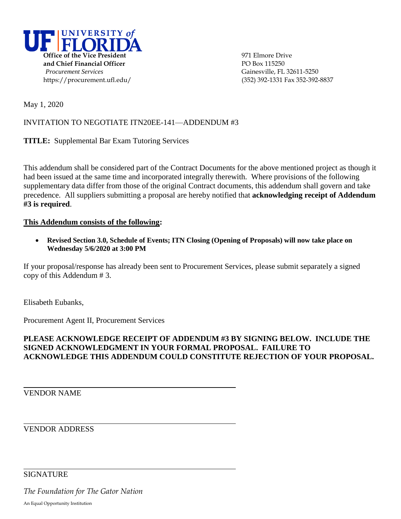

May 1, 2020

## INVITATION TO NEGOTIATE ITN20EE-141—ADDENDUM #3

**TITLE:** Supplemental Bar Exam Tutoring Services

This addendum shall be considered part of the Contract Documents for the above mentioned project as though it had been issued at the same time and incorporated integrally therewith. Where provisions of the following supplementary data differ from those of the original Contract documents, this addendum shall govern and take precedence. All suppliers submitting a proposal are hereby notified that **acknowledging receipt of Addendum #3 is required**.

## **This Addendum consists of the following:**

 **Revised Section 3.0, Schedule of Events; ITN Closing (Opening of Proposals) will now take place on Wednesday 5/6/2020 at 3:00 PM** 

If your proposal/response has already been sent to Procurement Services, please submit separately a signed copy of this Addendum # 3.

Elisabeth Eubanks,

Procurement Agent II, Procurement Services

## **PLEASE ACKNOWLEDGE RECEIPT OF ADDENDUM #3 BY SIGNING BELOW. INCLUDE THE SIGNED ACKNOWLEDGMENT IN YOUR FORMAL PROPOSAL. FAILURE TO ACKNOWLEDGE THIS ADDENDUM COULD CONSTITUTE REJECTION OF YOUR PROPOSAL.**

VENDOR NAME

VENDOR ADDRESS

**SIGNATURE** 

*The Foundation for The Gator Nation*